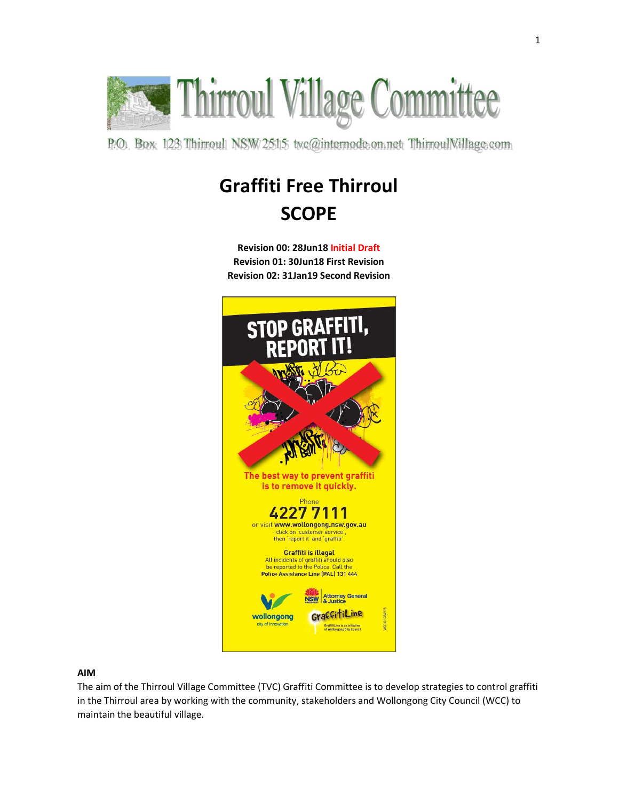

P.O. Box 123 Thirroul NSW 2515 twc@internode.on.net ThirroulNillage.com

# Graffiti Free Thirroul **SCOPE**

Revision 00: 28Jun18 Initial Draft Revision 01: 30Jun18 First Revision Revision 02: 31Jan19 Second Revision



#### AIM

The aim of the Thirroul Village Committee (TVC) Graffiti Committee is to develop strategies to control graffiti in the Thirroul area by working with the community, stakeholders and Wollongong City Council (WCC) to maintain the beautiful village.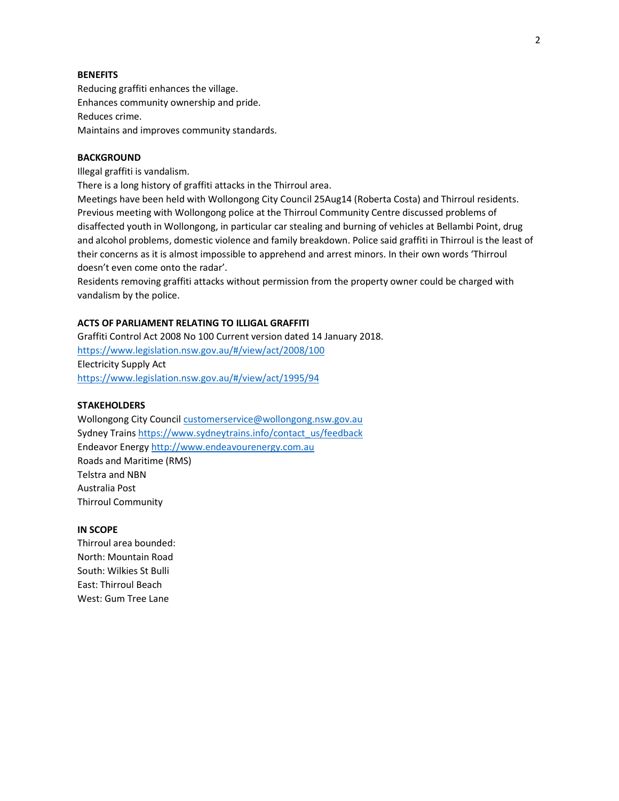#### **BENEFITS**

Reducing graffiti enhances the village. Enhances community ownership and pride. Reduces crime. Maintains and improves community standards.

#### **BACKGROUND**

Illegal graffiti is vandalism.

There is a long history of graffiti attacks in the Thirroul area.

Meetings have been held with Wollongong City Council 25Aug14 (Roberta Costa) and Thirroul residents. Previous meeting with Wollongong police at the Thirroul Community Centre discussed problems of disaffected youth in Wollongong, in particular car stealing and burning of vehicles at Bellambi Point, drug and alcohol problems, domestic violence and family breakdown. Police said graffiti in Thirroul is the least of their concerns as it is almost impossible to apprehend and arrest minors. In their own words 'Thirroul doesn't even come onto the radar'.

Residents removing graffiti attacks without permission from the property owner could be charged with vandalism by the police.

#### ACTS OF PARLIAMENT RELATING TO ILLIGAL GRAFFITI

Graffiti Control Act 2008 No 100 Current version dated 14 January 2018. https://www.legislation.nsw.gov.au/#/view/act/2008/100 Electricity Supply Act https://www.legislation.nsw.gov.au/#/view/act/1995/94

#### **STAKEHOLDERS**

Wollongong City Council customerservice@wollongong.nsw.gov.au Sydney Trains https://www.sydneytrains.info/contact\_us/feedback Endeavor Energy http://www.endeavourenergy.com.au Roads and Maritime (RMS) Telstra and NBN Australia Post Thirroul Community

#### IN SCOPE

Thirroul area bounded: North: Mountain Road South: Wilkies St Bulli East: Thirroul Beach West: Gum Tree Lane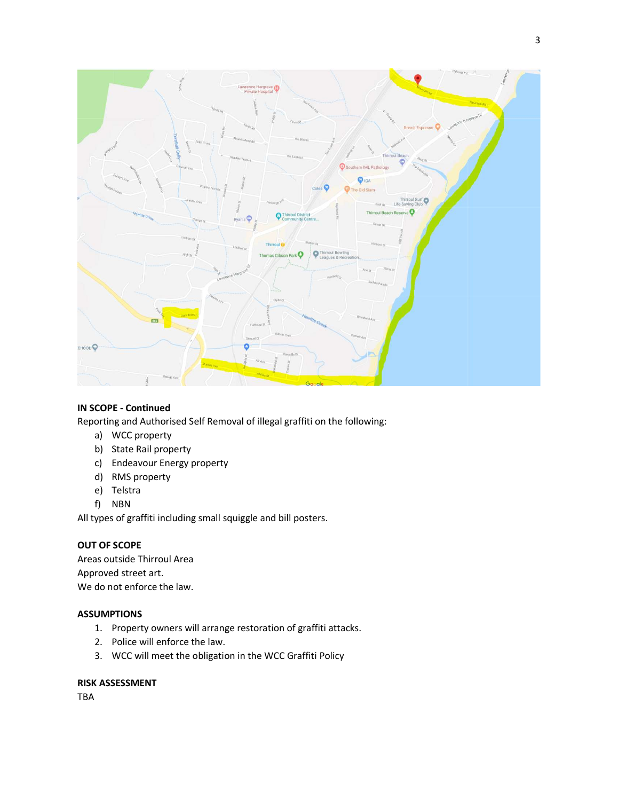

## IN SCOPE - Continued

Reporting and Authorised Self Removal of illegal graffiti on the following:

- a) WCC property
- b) State Rail property
- c) Endeavour Energy property
- d) RMS property
- e) Telstra
- f) NBN

All types of graffiti including small squiggle and bill posters.

## OUT OF SCOPE

Areas outside Thirroul Area Approved street art. We do not enforce the law.

#### ASSUMPTIONS

- 1. Property owners will arrange restoration of graffiti attacks.
- 2. Police will enforce the law.
- 3. WCC will meet the obligation in the WCC Graffiti Policy

#### RISK ASSESSMENT

TBA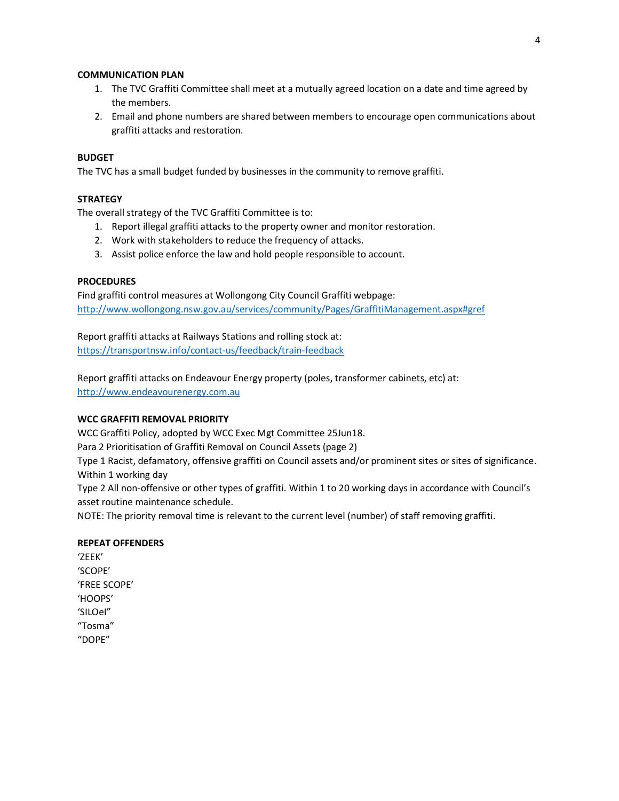#### COMMUNICATION PLAN

- 1. The TVC Graffiti Committee shall meet at a mutually agreed location on a date and time agreed by the members.
- 2. Email and phone numbers are shared between members to encourage open communications about graffiti attacks and restoration.

#### **BUDGET**

The TVC has a small budget funded by businesses in the community to remove graffiti.

#### **STRATEGY**

The overall strategy of the TVC Graffiti Committee is to:

- 1. Report illegal graffiti attacks to the property owner and monitor restoration.
- 2. Work with stakeholders to reduce the frequency of attacks.
- 3. Assist police enforce the law and hold people responsible to account.

#### **PROCEDURES**

Find graffiti control measures at Wollongong City Council Graffiti webpage: http://www.wollongong.nsw.gov.au/services/community/Pages/GraffitiManagement.aspx#gref

Report graffiti attacks at Railways Stations and rolling stock at: https://transportnsw.info/contact-us/feedback/train-feedback

Report graffiti attacks on Endeavour Energy property (poles, transformer cabinets, etc) at: http://www.endeavourenergy.com.au

#### WCC GRAFFITI REMOVAL PRIORITY

WCC Graffiti Policy, adopted by WCC Exec Mgt Committee 25Jun18.

Para 2 Prioritisation of Graffiti Removal on Council Assets (page 2)

Type 1 Racist, defamatory, offensive graffiti on Council assets and/or prominent sites or sites of significance. Within 1 working day

Type 2 All non-offensive or other types of graffiti. Within 1 to 20 working days in accordance with Council's asset routine maintenance schedule.

NOTE: The priority removal time is relevant to the current level (number) of staff removing graffiti.

#### REPEAT OFFENDERS

'ZEEK' 'SCOPE' 'FREE SCOPE' 'HOOPS' 'SILOeI" "Tosma" "DOPE"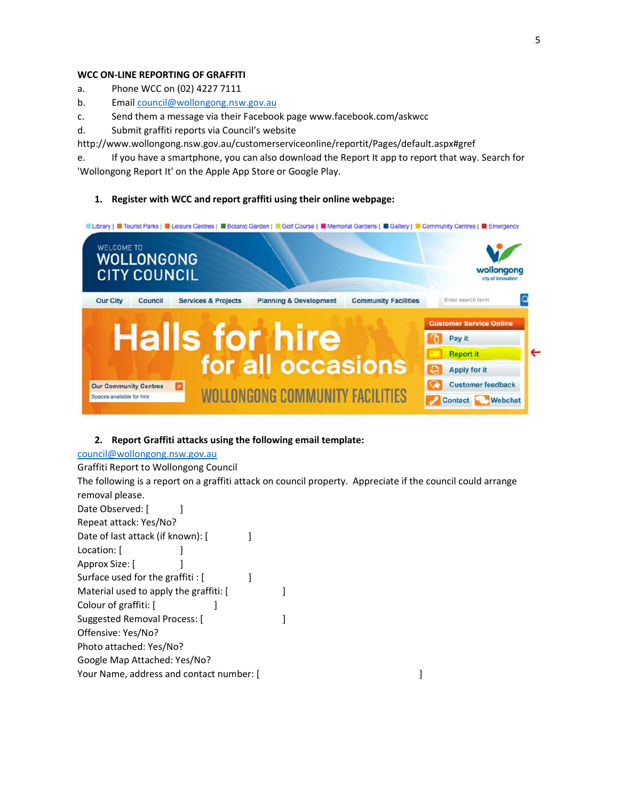#### WCC ON-LINE REPORTING OF GRAFFITI

- a. Phone WCC on (02) 4227 7111
- b. Email council@wollongong.nsw.gov.au
- c. Send them a message via their Facebook page www.facebook.com/askwcc
- d. Submit graffiti reports via Council's website

http://www.wollongong.nsw.gov.au/customerserviceonline/reportit/Pages/default.aspx#gref

e. If you have a smartphone, you can also download the Report It app to report that way. Search for 'Wollongong Report It' on the Apple App Store or Google Play.

#### 1. Register with WCC and report graffiti using their online webpage:

Il Library | Il Tourist Parks | Leisure Centres | Il Botanic Garden | Colf Course | Il Memorial Gardens | Callery | Community Centres | Il Emergency



#### 2. Report Graffiti attacks using the following email template:

council@wollongong.nsw.gov.au

Graffiti Report to Wollongong Council

The following is a report on a graffiti attack on council property. Appreciate if the council could arrange removal please.

Date Observed: [ ] Repeat attack: Yes/No? Date of last attack (if known): [ Location: [ ] Approx Size: [ ] Surface used for the graffiti : [ Material used to apply the graffiti: [  $\qquad \qquad$  ] Colour of graffiti: [ ] Suggested Removal Process: [ [ ] ] Offensive: Yes/No? Photo attached: Yes/No? Google Map Attached: Yes/No? Your Name, address and contact number: [ ]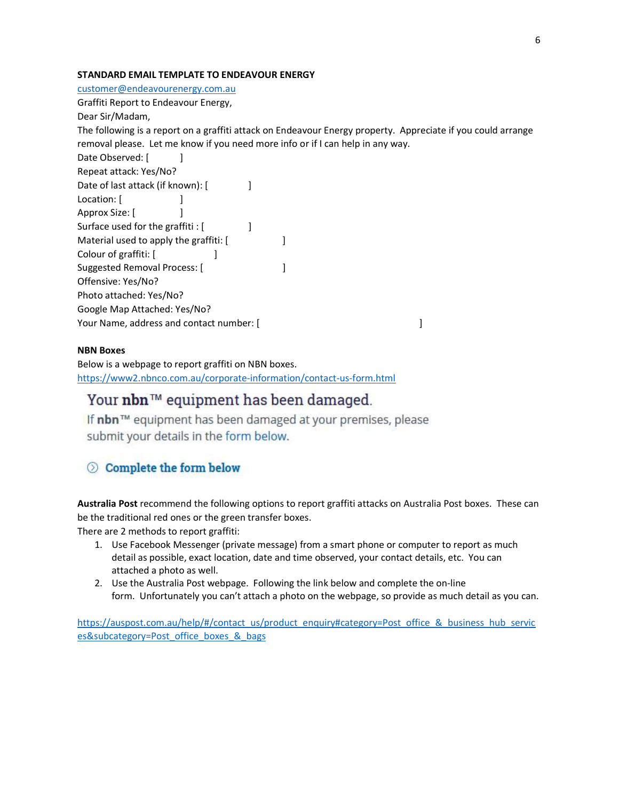#### STANDARD EMAIL TEMPLATE TO ENDEAVOUR ENERGY

customer@endeavourenergy.com.au

Graffiti Report to Endeavour Energy, Dear Sir/Madam, The following is a report on a graffiti attack on Endeavour Energy property. Appreciate if you could arrange removal please. Let me know if you need more info or if I can help in any way. Date Observed: [ ] Repeat attack: Yes/No?

| Date of last attack (if known): [        |  |
|------------------------------------------|--|
| Location: [                              |  |
| Approx Size: [                           |  |
| Surface used for the graffiti : [        |  |
| Material used to apply the graffiti: [   |  |
| Colour of graffiti: [                    |  |
| Suggested Removal Process: [             |  |
| Offensive: Yes/No?                       |  |
| Photo attached: Yes/No?                  |  |
| Google Map Attached: Yes/No?             |  |
| Your Name, address and contact number: [ |  |

#### NBN Boxes

Below is a webpage to report graffiti on NBN boxes. https://www2.nbnco.com.au/corporate-information/contact-us-form.html

# Your nbn™ equipment has been damaged.

If nbn™ equipment has been damaged at your premises, please submit your details in the form below.

# ◯ Complete the form below

Australia Post recommend the following options to report graffiti attacks on Australia Post boxes. These can be the traditional red ones or the green transfer boxes.

There are 2 methods to report graffiti:

- 1. Use Facebook Messenger (private message) from a smart phone or computer to report as much detail as possible, exact location, date and time observed, your contact details, etc. You can attached a photo as well.
- 2. Use the Australia Post webpage. Following the link below and complete the on-line form. Unfortunately you can't attach a photo on the webpage, so provide as much detail as you can.

https://auspost.com.au/help/#/contact\_us/product\_enquiry#category=Post\_office\_&\_business\_hub\_servic es&subcategory=Post\_office\_boxes\_&\_bags